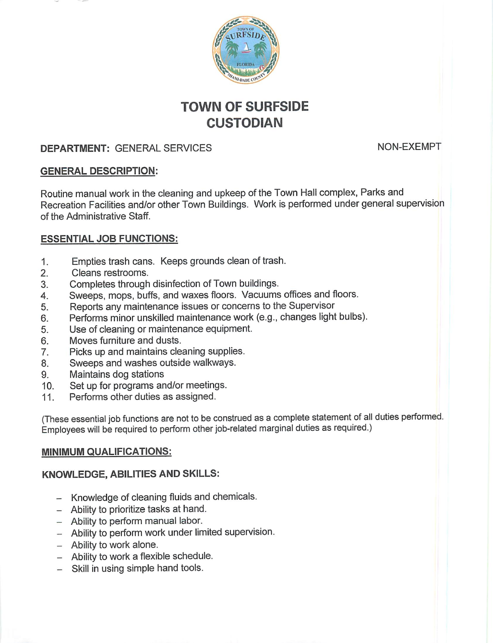

# *TOWN OF SURFSIDE CUSTODIAN*

## **DEPARTMENT:** GENERAL SERVICES NON-EXEMPT

## *GENERAL DESCRIPTION:*

Routine manual work in the cleaning and upkeep of the Town Hall complex, Parks and Recreation Facilities and/or other Town Buildings. Work is performed under general supervision of the Administrative Staff.

## *ESSENTIAL JOB FUNCTIONS:*

- 1. Empties trash cans. Keeps grounds clean of trash.
- 2. Cleans restrooms.
- 3. Completes through disinfection of Town buildings.
- 4. Sweeps, mops, buffs, and waxes floors. Vacuums offices and floors.
- 5. Reports any maintenance issues or concerns to the Supervisor
- 6. Performs minor unskilled maintenance work (e.g., changes light bulbs).
- 5. Use of cleaning or maintenance equipment.
- 6. Moves furniture and dusts.
- 7. Picks up and maintains cleaning supplies.
- 8. Sweeps and washes outside walkways.
- 9. Maintains dog stations
- 10. Set up for programs and/or meetings.
- 11. Performs other duties as assigned.

(These essential job functions are not to be construed as a complete statement of all duties performed. Employees will be required to perform other job-related marginal duties as required.)

## *MINIMUM QUALIFICATIONS:*

#### *KNOWLEDGE, ABILITIES AND SKILLS:*

- Knowledge of cleaning fluids and chemicals.
- Ability to prioritize tasks at hand.
- Ability to perform manual labor.
- Ability to perform work under limited supervision.
- Ability to work alone.
- Ability to work a flexible schedule.
- Skill in using simple hand tools.